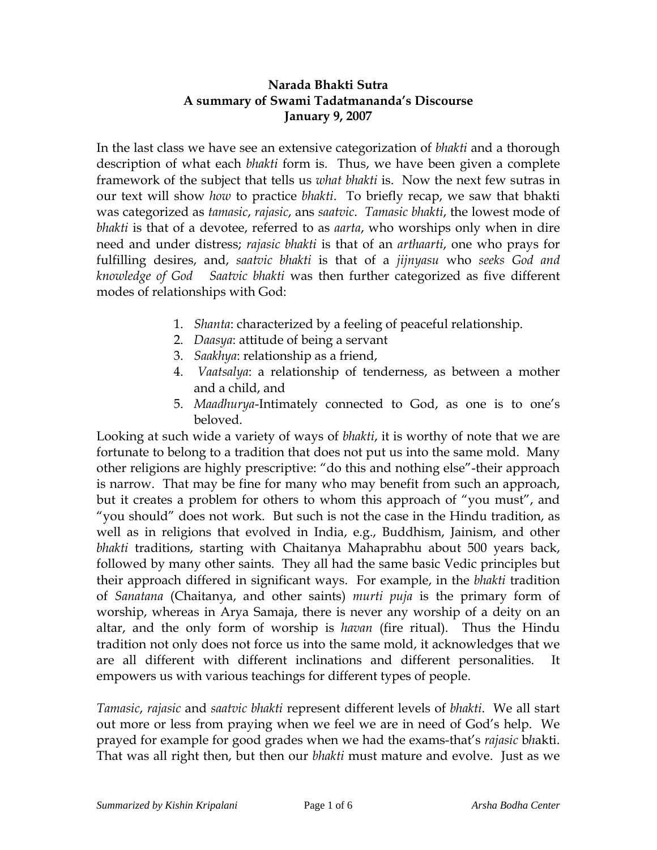### **Narada Bhakti Sutra A summary of Swami Tadatmananda's Discourse January 9, 2007**

In the last class we have see an extensive categorization of *bhakti* and a thorough description of what each *bhakti* form is. Thus, we have been given a complete framework of the subject that tells us *what bhakti* is. Now the next few sutras in our text will show *how* to practice *bhakti*. To briefly recap, we saw that bhakti was categorized as *tamasic*, *rajasic*, ans *saatvic*. *Tamasic bhakti*, the lowest mode of *bhakti* is that of a devotee, referred to as *aarta*, who worships only when in dire need and under distress; *rajasic bhakti* is that of an *arthaarti*, one who prays for fulfilling desires, and, *saatvic bhakti* is that of a *jijnyasu* who *seeks God and knowledge of God Saatvic bhakti* was then further categorized as five different modes of relationships with God:

- 1. *Shanta*: characterized by a feeling of peaceful relationship.
- 2. *Daasya*: attitude of being a servant
- 3. *Saakhya*: relationship as a friend,
- 4. *Vaatsalya*: a relationship of tenderness, as between a mother and a child, and
- 5. *Maadhurya*-Intimately connected to God, as one is to one's beloved.

Looking at such wide a variety of ways of *bhakti*, it is worthy of note that we are fortunate to belong to a tradition that does not put us into the same mold. Many other religions are highly prescriptive: "do this and nothing else"-their approach is narrow. That may be fine for many who may benefit from such an approach, but it creates a problem for others to whom this approach of "you must", and "you should" does not work. But such is not the case in the Hindu tradition, as well as in religions that evolved in India, e.g., Buddhism, Jainism, and other *bhakti* traditions, starting with Chaitanya Mahaprabhu about 500 years back, followed by many other saints. They all had the same basic Vedic principles but their approach differed in significant ways. For example, in the *bhakti* tradition of *Sanatana* (Chaitanya, and other saints) *murti puja* is the primary form of worship, whereas in Arya Samaja, there is never any worship of a deity on an altar, and the only form of worship is *havan* (fire ritual). Thus the Hindu tradition not only does not force us into the same mold, it acknowledges that we are all different with different inclinations and different personalities. It empowers us with various teachings for different types of people.

*Tamasic*, *rajasic* and *saatvic bhakti* represent different levels of *bhakti*. We all start out more or less from praying when we feel we are in need of God's help. We prayed for example for good grades when we had the exams-that's *rajasic* b*h*akti. That was all right then, but then our *bhakti* must mature and evolve. Just as we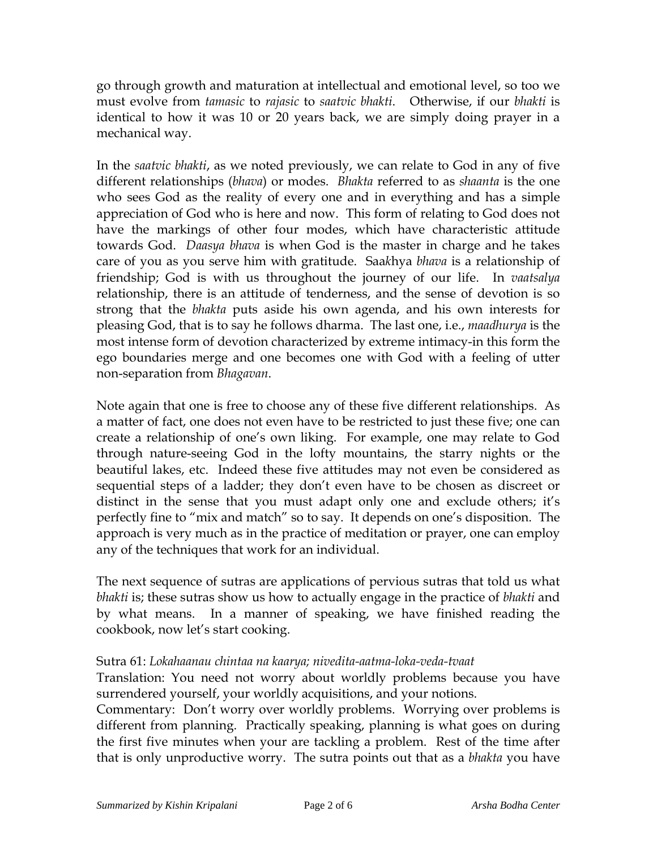go through growth and maturation at intellectual and emotional level, so too we must evolve from *tamasic* to *rajasic* to *saatvic bhakti*. Otherwise, if our *bhakti* is identical to how it was 10 or 20 years back, we are simply doing prayer in a mechanical way.

In the *saatvic bhakti*, as we noted previously, we can relate to God in any of five different relationships (*bhava*) or modes. *Bhakta* referred to as *shaanta* is the one who sees God as the reality of every one and in everything and has a simple appreciation of God who is here and now. This form of relating to God does not have the markings of other four modes, which have characteristic attitude towards God. *Daasya bhava* is when God is the master in charge and he takes care of you as you serve him with gratitude. Saa*k*hya *bhava* is a relationship of friendship; God is with us throughout the journey of our life. In *vaatsalya* relationship, there is an attitude of tenderness, and the sense of devotion is so strong that the *bhakta* puts aside his own agenda, and his own interests for pleasing God, that is to say he follows dharma. The last one, i.e., *maadhurya* is the most intense form of devotion characterized by extreme intimacy-in this form the ego boundaries merge and one becomes one with God with a feeling of utter non-separation from *Bhagavan*.

Note again that one is free to choose any of these five different relationships. As a matter of fact, one does not even have to be restricted to just these five; one can create a relationship of one's own liking. For example, one may relate to God through nature-seeing God in the lofty mountains, the starry nights or the beautiful lakes, etc. Indeed these five attitudes may not even be considered as sequential steps of a ladder; they don't even have to be chosen as discreet or distinct in the sense that you must adapt only one and exclude others; it's perfectly fine to "mix and match" so to say. It depends on one's disposition. The approach is very much as in the practice of meditation or prayer, one can employ any of the techniques that work for an individual.

The next sequence of sutras are applications of pervious sutras that told us what *bhakti* is; these sutras show us how to actually engage in the practice of *bhakti* and by what means. In a manner of speaking, we have finished reading the cookbook, now let's start cooking.

# Sutra 61: *Lokahaanau chintaa na kaarya; nivedita-aatma-loka-veda-tvaat*

Translation: You need not worry about worldly problems because you have surrendered yourself, your worldly acquisitions, and your notions.

Commentary: Don't worry over worldly problems. Worrying over problems is different from planning. Practically speaking, planning is what goes on during the first five minutes when your are tackling a problem. Rest of the time after that is only unproductive worry. The sutra points out that as a *bhakta* you have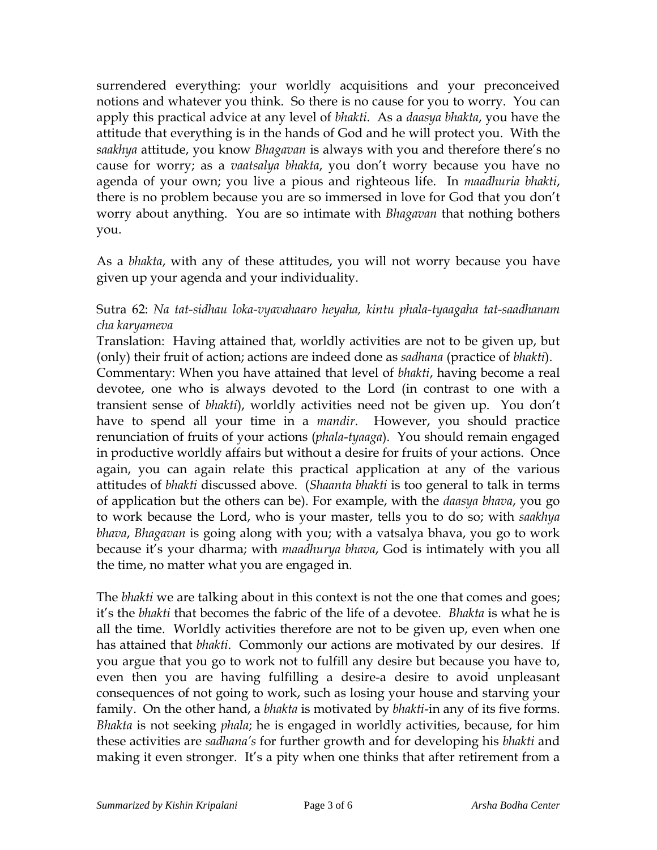surrendered everything: your worldly acquisitions and your preconceived notions and whatever you think. So there is no cause for you to worry. You can apply this practical advice at any level of *bhakti*. As a *daasya bhakta*, you have the attitude that everything is in the hands of God and he will protect you. With the *saakhya* attitude, you know *Bhagavan* is always with you and therefore there's no cause for worry; as a *vaatsalya bhakta*, you don't worry because you have no agenda of your own; you live a pious and righteous life. In *maadhuria bhakti*, there is no problem because you are so immersed in love for God that you don't worry about anything. You are so intimate with *Bhagavan* that nothing bothers you.

As a *bhakta*, with any of these attitudes, you will not worry because you have given up your agenda and your individuality.

# Sutra 62: *Na tat-sidhau loka-vyavahaaro heyaha, kintu phala-tyaagaha tat-saadhanam cha karyameva*

Translation: Having attained that, worldly activities are not to be given up, but (only) their fruit of action; actions are indeed done as *sadhana* (practice of *bhakti*).

Commentary: When you have attained that level of *bhakti*, having become a real devotee, one who is always devoted to the Lord (in contrast to one with a transient sense of *bhakti*), worldly activities need not be given up. You don't have to spend all your time in a *mandir*. However, you should practice renunciation of fruits of your actions (*phala*-*tyaaga*). You should remain engaged in productive worldly affairs but without a desire for fruits of your actions. Once again, you can again relate this practical application at any of the various attitudes of *bhakti* discussed above. (*Shaanta bhakti* is too general to talk in terms of application but the others can be). For example, with the *daasya bhava*, you go to work because the Lord, who is your master, tells you to do so; with *saakhya bhava*, *Bhagavan* is going along with you; with a vatsalya bhava, you go to work because it's your dharma; with *maadhurya bhava*, God is intimately with you all the time, no matter what you are engaged in.

The *bhakti* we are talking about in this context is not the one that comes and goes; it's the *bhakti* that becomes the fabric of the life of a devotee. *Bhakta* is what he is all the time. Worldly activities therefore are not to be given up, even when one has attained that *bhakti*. Commonly our actions are motivated by our desires. If you argue that you go to work not to fulfill any desire but because you have to, even then you are having fulfilling a desire-a desire to avoid unpleasant consequences of not going to work, such as losing your house and starving your family. On the other hand, a *bhakta* is motivated by *bhakti*-in any of its five forms. *Bhakta* is not seeking *phala*; he is engaged in worldly activities, because, for him these activities are *sadhana's* for further growth and for developing his *bhakti* and making it even stronger. It's a pity when one thinks that after retirement from a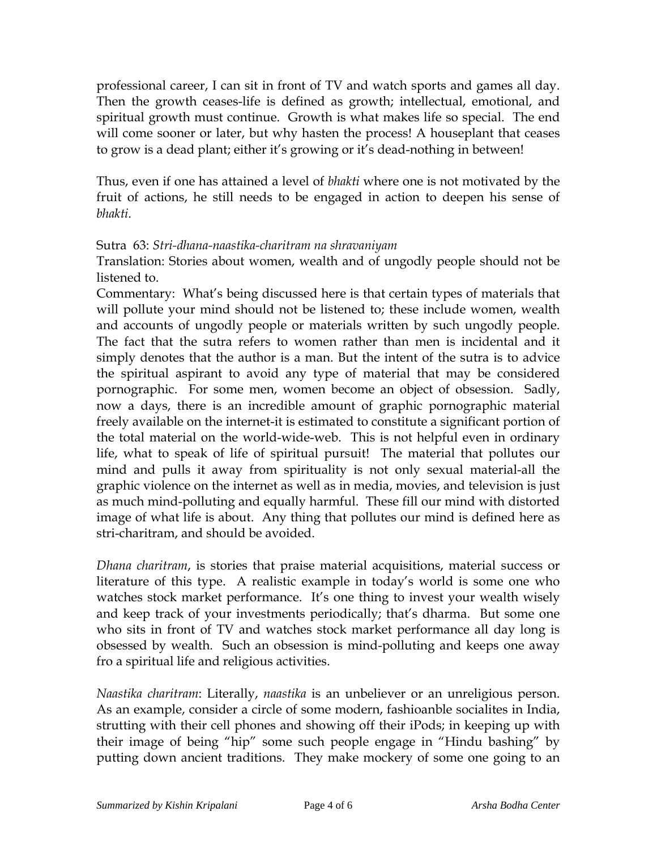professional career, I can sit in front of TV and watch sports and games all day. Then the growth ceases-life is defined as growth; intellectual, emotional, and spiritual growth must continue. Growth is what makes life so special. The end will come sooner or later, but why hasten the process! A houseplant that ceases to grow is a dead plant; either it's growing or it's dead-nothing in between!

Thus, even if one has attained a level of *bhakti* where one is not motivated by the fruit of actions, he still needs to be engaged in action to deepen his sense of *bhakti*.

### Sutra 63: *Stri-dhana-naastika-charitram na shravaniyam*

Translation: Stories about women, wealth and of ungodly people should not be listened to.

Commentary: What's being discussed here is that certain types of materials that will pollute your mind should not be listened to; these include women, wealth and accounts of ungodly people or materials written by such ungodly people. The fact that the sutra refers to women rather than men is incidental and it simply denotes that the author is a man. But the intent of the sutra is to advice the spiritual aspirant to avoid any type of material that may be considered pornographic. For some men, women become an object of obsession. Sadly, now a days, there is an incredible amount of graphic pornographic material freely available on the internet-it is estimated to constitute a significant portion of the total material on the world-wide-web. This is not helpful even in ordinary life, what to speak of life of spiritual pursuit! The material that pollutes our mind and pulls it away from spirituality is not only sexual material-all the graphic violence on the internet as well as in media, movies, and television is just as much mind-polluting and equally harmful. These fill our mind with distorted image of what life is about. Any thing that pollutes our mind is defined here as stri-charitram, and should be avoided.

*Dhana charitram*, is stories that praise material acquisitions, material success or literature of this type. A realistic example in today's world is some one who watches stock market performance. It's one thing to invest your wealth wisely and keep track of your investments periodically; that's dharma. But some one who sits in front of TV and watches stock market performance all day long is obsessed by wealth. Such an obsession is mind-polluting and keeps one away fro a spiritual life and religious activities.

*Naastika charitram*: Literally, *naastika* is an unbeliever or an unreligious person. As an example, consider a circle of some modern, fashioanble socialites in India, strutting with their cell phones and showing off their iPods; in keeping up with their image of being "hip" some such people engage in "Hindu bashing" by putting down ancient traditions. They make mockery of some one going to an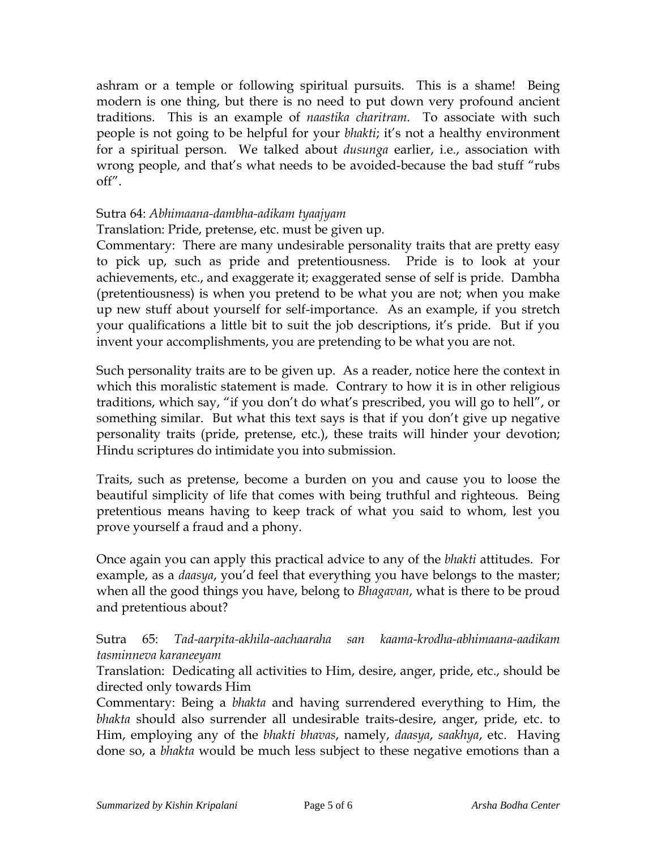ashram or a temple or following spiritual pursuits. This is a shame! Being modern is one thing, but there is no need to put down very profound ancient traditions. This is an example of *naastika charitram*. To associate with such people is not going to be helpful for your *bhakti*; it's not a healthy environment for a spiritual person. We talked about *dusunga* earlier, i.e., association with wrong people, and that's what needs to be avoided-because the bad stuff "rubs off".

#### Sutra 64: *Abhimaana-dambha-adikam tyaajyam*

### Translation: Pride, pretense, etc. must be given up.

Commentary: There are many undesirable personality traits that are pretty easy to pick up, such as pride and pretentiousness. Pride is to look at your achievements, etc., and exaggerate it; exaggerated sense of self is pride. Dambha (pretentiousness) is when you pretend to be what you are not; when you make up new stuff about yourself for self-importance. As an example, if you stretch your qualifications a little bit to suit the job descriptions, it's pride. But if you invent your accomplishments, you are pretending to be what you are not.

Such personality traits are to be given up. As a reader, notice here the context in which this moralistic statement is made. Contrary to how it is in other religious traditions, which say, "if you don't do what's prescribed, you will go to hell", or something similar. But what this text says is that if you don't give up negative personality traits (pride, pretense, etc.), these traits will hinder your devotion; Hindu scriptures do intimidate you into submission.

Traits, such as pretense, become a burden on you and cause you to loose the beautiful simplicity of life that comes with being truthful and righteous. Being pretentious means having to keep track of what you said to whom, lest you prove yourself a fraud and a phony.

Once again you can apply this practical advice to any of the *bhakti* attitudes. For example, as a *daasya*, you'd feel that everything you have belongs to the master; when all the good things you have, belong to *Bhagavan*, what is there to be proud and pretentious about?

Sutra 65: *Tad-aarpita-akhila-aachaaraha san kaama-krodha-abhimaana-aadikam tasminneva karaneeyam*

Translation: Dedicating all activities to Him, desire, anger, pride, etc., should be directed only towards Him

Commentary: Being a *bhakta* and having surrendered everything to Him, the *bhakta* should also surrender all undesirable traits-desire, anger, pride, etc. to Him, employing any of the *bhakti bhavas*, namely, *daasya*, *saakhya*, etc. Having done so, a *bhakta* would be much less subject to these negative emotions than a